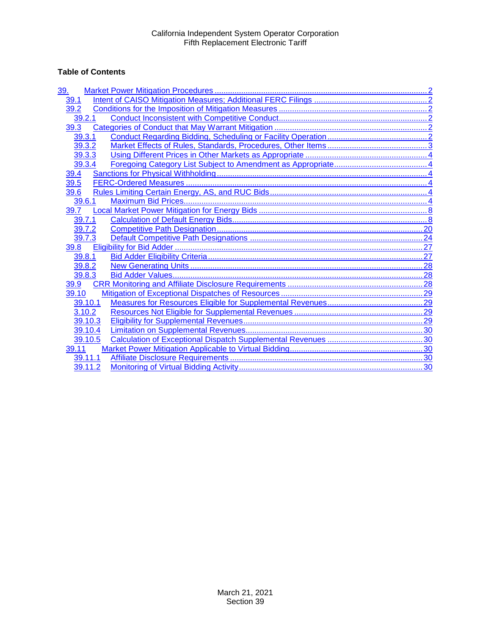# **Table of Contents**

| <u>39.</u> |  |
|------------|--|
| 39.1       |  |
| 39.2       |  |
| 39.2.1     |  |
| 39.3       |  |
| 39.3.1     |  |
| 39.3.2     |  |
| 39.3.3     |  |
| 39.3.4     |  |
| 39.4       |  |
| 39.5       |  |
| 39.6       |  |
| 39.6.1     |  |
| 39.7       |  |
| 39.7.1     |  |
| 39.7.2     |  |
| 39.7.3     |  |
| 39.8       |  |
| 39.8.1     |  |
| 39.8.2     |  |
| 39.8.3     |  |
| 39.9       |  |
| 39.10      |  |
| 39.10.1    |  |
| 3.10.2     |  |
| 39.10.3    |  |
| 39.10.4    |  |
| 39.10.5    |  |
| 39.11      |  |
| 39.11.1    |  |
| 39.11.2    |  |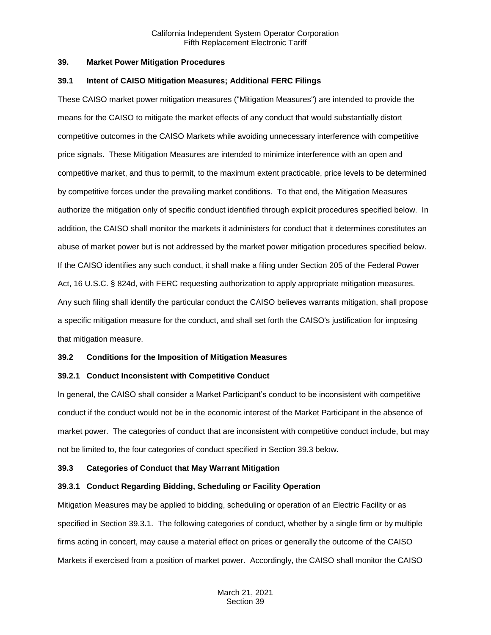#### <span id="page-1-0"></span>**39. Market Power Mitigation Procedures**

#### <span id="page-1-1"></span>**39.1 Intent of CAISO Mitigation Measures; Additional FERC Filings**

These CAISO market power mitigation measures ("Mitigation Measures") are intended to provide the means for the CAISO to mitigate the market effects of any conduct that would substantially distort competitive outcomes in the CAISO Markets while avoiding unnecessary interference with competitive price signals. These Mitigation Measures are intended to minimize interference with an open and competitive market, and thus to permit, to the maximum extent practicable, price levels to be determined by competitive forces under the prevailing market conditions. To that end, the Mitigation Measures authorize the mitigation only of specific conduct identified through explicit procedures specified below. In addition, the CAISO shall monitor the markets it administers for conduct that it determines constitutes an abuse of market power but is not addressed by the market power mitigation procedures specified below. If the CAISO identifies any such conduct, it shall make a filing under Section 205 of the Federal Power Act, 16 U.S.C. § 824d, with FERC requesting authorization to apply appropriate mitigation measures. Any such filing shall identify the particular conduct the CAISO believes warrants mitigation, shall propose a specific mitigation measure for the conduct, and shall set forth the CAISO's justification for imposing that mitigation measure.

## <span id="page-1-2"></span>**39.2 Conditions for the Imposition of Mitigation Measures**

## <span id="page-1-3"></span>**39.2.1 Conduct Inconsistent with Competitive Conduct**

In general, the CAISO shall consider a Market Participant's conduct to be inconsistent with competitive conduct if the conduct would not be in the economic interest of the Market Participant in the absence of market power. The categories of conduct that are inconsistent with competitive conduct include, but may not be limited to, the four categories of conduct specified in Section 39.3 below.

## <span id="page-1-4"></span>**39.3 Categories of Conduct that May Warrant Mitigation**

## <span id="page-1-5"></span>**39.3.1 Conduct Regarding Bidding, Scheduling or Facility Operation**

Mitigation Measures may be applied to bidding, scheduling or operation of an Electric Facility or as specified in Section 39.3.1. The following categories of conduct, whether by a single firm or by multiple firms acting in concert, may cause a material effect on prices or generally the outcome of the CAISO Markets if exercised from a position of market power. Accordingly, the CAISO shall monitor the CAISO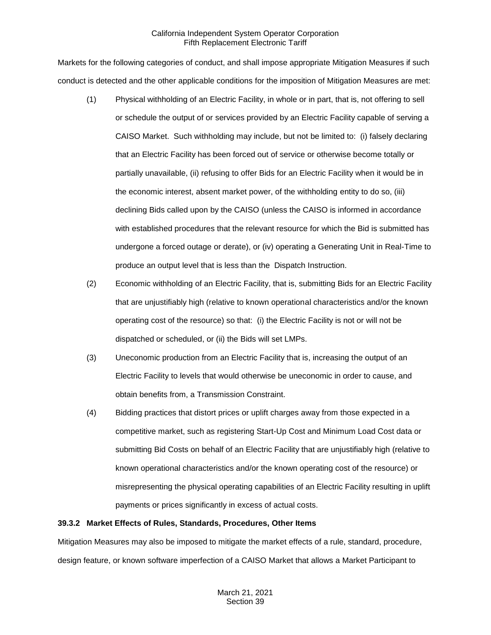Markets for the following categories of conduct, and shall impose appropriate Mitigation Measures if such conduct is detected and the other applicable conditions for the imposition of Mitigation Measures are met:

- (1) Physical withholding of an Electric Facility, in whole or in part, that is, not offering to sell or schedule the output of or services provided by an Electric Facility capable of serving a CAISO Market. Such withholding may include, but not be limited to: (i) falsely declaring that an Electric Facility has been forced out of service or otherwise become totally or partially unavailable, (ii) refusing to offer Bids for an Electric Facility when it would be in the economic interest, absent market power, of the withholding entity to do so, (iii) declining Bids called upon by the CAISO (unless the CAISO is informed in accordance with established procedures that the relevant resource for which the Bid is submitted has undergone a forced outage or derate), or (iv) operating a Generating Unit in Real-Time to produce an output level that is less than the Dispatch Instruction.
- (2) Economic withholding of an Electric Facility, that is, submitting Bids for an Electric Facility that are unjustifiably high (relative to known operational characteristics and/or the known operating cost of the resource) so that: (i) the Electric Facility is not or will not be dispatched or scheduled, or (ii) the Bids will set LMPs.
- (3) Uneconomic production from an Electric Facility that is, increasing the output of an Electric Facility to levels that would otherwise be uneconomic in order to cause, and obtain benefits from, a Transmission Constraint.
- (4) Bidding practices that distort prices or uplift charges away from those expected in a competitive market, such as registering Start-Up Cost and Minimum Load Cost data or submitting Bid Costs on behalf of an Electric Facility that are unjustifiably high (relative to known operational characteristics and/or the known operating cost of the resource) or misrepresenting the physical operating capabilities of an Electric Facility resulting in uplift payments or prices significantly in excess of actual costs.

## <span id="page-2-0"></span>**39.3.2 Market Effects of Rules, Standards, Procedures, Other Items**

Mitigation Measures may also be imposed to mitigate the market effects of a rule, standard, procedure, design feature, or known software imperfection of a CAISO Market that allows a Market Participant to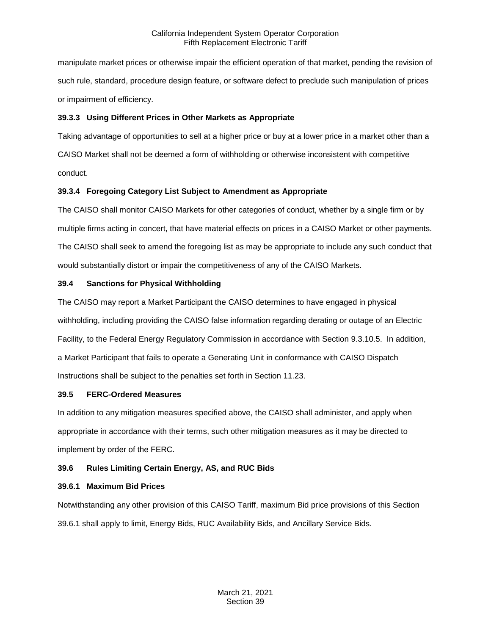manipulate market prices or otherwise impair the efficient operation of that market, pending the revision of such rule, standard, procedure design feature, or software defect to preclude such manipulation of prices or impairment of efficiency.

# <span id="page-3-0"></span>**39.3.3 Using Different Prices in Other Markets as Appropriate**

Taking advantage of opportunities to sell at a higher price or buy at a lower price in a market other than a CAISO Market shall not be deemed a form of withholding or otherwise inconsistent with competitive conduct.

# <span id="page-3-1"></span>**39.3.4 Foregoing Category List Subject to Amendment as Appropriate**

The CAISO shall monitor CAISO Markets for other categories of conduct, whether by a single firm or by multiple firms acting in concert, that have material effects on prices in a CAISO Market or other payments. The CAISO shall seek to amend the foregoing list as may be appropriate to include any such conduct that would substantially distort or impair the competitiveness of any of the CAISO Markets.

# <span id="page-3-2"></span>**39.4 Sanctions for Physical Withholding**

The CAISO may report a Market Participant the CAISO determines to have engaged in physical withholding, including providing the CAISO false information regarding derating or outage of an Electric Facility, to the Federal Energy Regulatory Commission in accordance with Section 9.3.10.5. In addition, a Market Participant that fails to operate a Generating Unit in conformance with CAISO Dispatch Instructions shall be subject to the penalties set forth in Section 11.23.

## <span id="page-3-3"></span>**39.5 FERC-Ordered Measures**

In addition to any mitigation measures specified above, the CAISO shall administer, and apply when appropriate in accordance with their terms, such other mitigation measures as it may be directed to implement by order of the FERC.

# <span id="page-3-4"></span>**39.6 Rules Limiting Certain Energy, AS, and RUC Bids**

## <span id="page-3-5"></span>**39.6.1 Maximum Bid Prices**

Notwithstanding any other provision of this CAISO Tariff, maximum Bid price provisions of this Section 39.6.1 shall apply to limit, Energy Bids, RUC Availability Bids, and Ancillary Service Bids.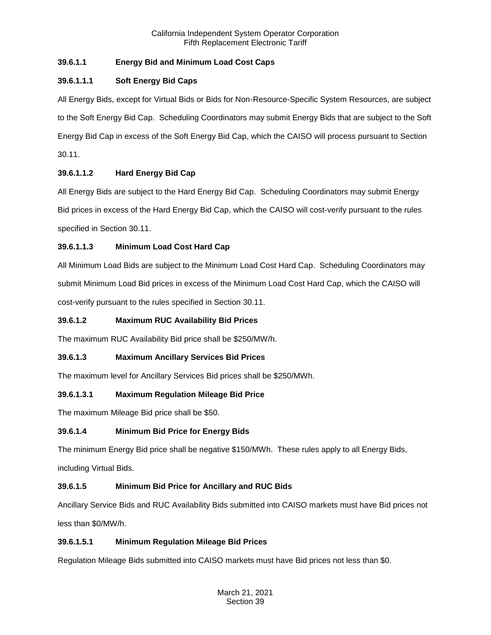# **39.6.1.1 Energy Bid and Minimum Load Cost Caps**

# **39.6.1.1.1 Soft Energy Bid Caps**

All Energy Bids, except for Virtual Bids or Bids for Non-Resource-Specific System Resources, are subject to the Soft Energy Bid Cap. Scheduling Coordinators may submit Energy Bids that are subject to the Soft Energy Bid Cap in excess of the Soft Energy Bid Cap, which the CAISO will process pursuant to Section 30.11.

# **39.6.1.1.2 Hard Energy Bid Cap**

All Energy Bids are subject to the Hard Energy Bid Cap. Scheduling Coordinators may submit Energy Bid prices in excess of the Hard Energy Bid Cap, which the CAISO will cost-verify pursuant to the rules specified in Section 30.11.

# **39.6.1.1.3 Minimum Load Cost Hard Cap**

All Minimum Load Bids are subject to the Minimum Load Cost Hard Cap. Scheduling Coordinators may submit Minimum Load Bid prices in excess of the Minimum Load Cost Hard Cap, which the CAISO will cost-verify pursuant to the rules specified in Section 30.11.

# **39.6.1.2 Maximum RUC Availability Bid Prices**

The maximum RUC Availability Bid price shall be \$250/MW/h.

# **39.6.1.3 Maximum Ancillary Services Bid Prices**

The maximum level for Ancillary Services Bid prices shall be \$250/MWh.

# **39.6.1.3.1 Maximum Regulation Mileage Bid Price**

The maximum Mileage Bid price shall be \$50.

# **39.6.1.4 Minimum Bid Price for Energy Bids**

The minimum Energy Bid price shall be negative \$150/MWh. These rules apply to all Energy Bids,

including Virtual Bids.

# **39.6.1.5 Minimum Bid Price for Ancillary and RUC Bids**

Ancillary Service Bids and RUC Availability Bids submitted into CAISO markets must have Bid prices not less than \$0/MW/h.

# **39.6.1.5.1 Minimum Regulation Mileage Bid Prices**

Regulation Mileage Bids submitted into CAISO markets must have Bid prices not less than \$0.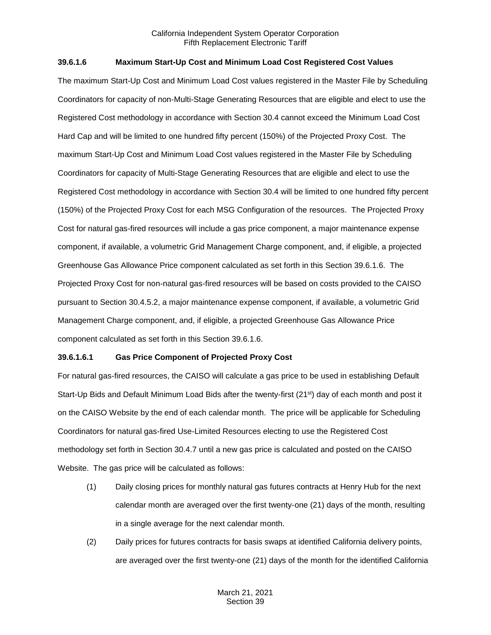## **39.6.1.6 Maximum Start-Up Cost and Minimum Load Cost Registered Cost Values**

The maximum Start-Up Cost and Minimum Load Cost values registered in the Master File by Scheduling Coordinators for capacity of non-Multi-Stage Generating Resources that are eligible and elect to use the Registered Cost methodology in accordance with Section 30.4 cannot exceed the Minimum Load Cost Hard Cap and will be limited to one hundred fifty percent (150%) of the Projected Proxy Cost. The maximum Start-Up Cost and Minimum Load Cost values registered in the Master File by Scheduling Coordinators for capacity of Multi-Stage Generating Resources that are eligible and elect to use the Registered Cost methodology in accordance with Section 30.4 will be limited to one hundred fifty percent (150%) of the Projected Proxy Cost for each MSG Configuration of the resources. The Projected Proxy Cost for natural gas-fired resources will include a gas price component, a major maintenance expense component, if available, a volumetric Grid Management Charge component, and, if eligible, a projected Greenhouse Gas Allowance Price component calculated as set forth in this Section 39.6.1.6. The Projected Proxy Cost for non-natural gas-fired resources will be based on costs provided to the CAISO pursuant to Section 30.4.5.2, a major maintenance expense component, if available, a volumetric Grid Management Charge component, and, if eligible, a projected Greenhouse Gas Allowance Price component calculated as set forth in this Section 39.6.1.6.

#### **39.6.1.6.1 Gas Price Component of Projected Proxy Cost**

For natural gas-fired resources, the CAISO will calculate a gas price to be used in establishing Default Start-Up Bids and Default Minimum Load Bids after the twenty-first (21<sup>st</sup>) day of each month and post it on the CAISO Website by the end of each calendar month. The price will be applicable for Scheduling Coordinators for natural gas-fired Use-Limited Resources electing to use the Registered Cost methodology set forth in Section 30.4.7 until a new gas price is calculated and posted on the CAISO Website. The gas price will be calculated as follows:

- (1) Daily closing prices for monthly natural gas futures contracts at Henry Hub for the next calendar month are averaged over the first twenty-one (21) days of the month, resulting in a single average for the next calendar month.
- (2) Daily prices for futures contracts for basis swaps at identified California delivery points, are averaged over the first twenty-one (21) days of the month for the identified California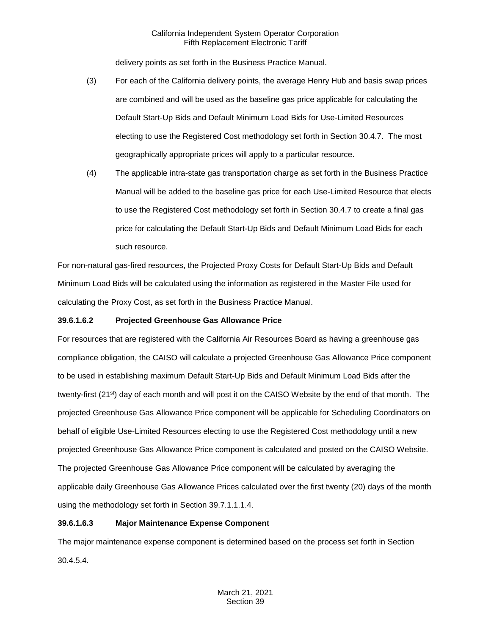delivery points as set forth in the Business Practice Manual.

- (3) For each of the California delivery points, the average Henry Hub and basis swap prices are combined and will be used as the baseline gas price applicable for calculating the Default Start-Up Bids and Default Minimum Load Bids for Use-Limited Resources electing to use the Registered Cost methodology set forth in Section 30.4.7. The most geographically appropriate prices will apply to a particular resource.
- (4) The applicable intra-state gas transportation charge as set forth in the Business Practice Manual will be added to the baseline gas price for each Use-Limited Resource that elects to use the Registered Cost methodology set forth in Section 30.4.7 to create a final gas price for calculating the Default Start-Up Bids and Default Minimum Load Bids for each such resource.

For non-natural gas-fired resources, the Projected Proxy Costs for Default Start-Up Bids and Default Minimum Load Bids will be calculated using the information as registered in the Master File used for calculating the Proxy Cost, as set forth in the Business Practice Manual.

## **39.6.1.6.2 Projected Greenhouse Gas Allowance Price**

For resources that are registered with the California Air Resources Board as having a greenhouse gas compliance obligation, the CAISO will calculate a projected Greenhouse Gas Allowance Price component to be used in establishing maximum Default Start-Up Bids and Default Minimum Load Bids after the twenty-first (21st) day of each month and will post it on the CAISO Website by the end of that month. The projected Greenhouse Gas Allowance Price component will be applicable for Scheduling Coordinators on behalf of eligible Use-Limited Resources electing to use the Registered Cost methodology until a new projected Greenhouse Gas Allowance Price component is calculated and posted on the CAISO Website. The projected Greenhouse Gas Allowance Price component will be calculated by averaging the applicable daily Greenhouse Gas Allowance Prices calculated over the first twenty (20) days of the month using the methodology set forth in Section 39.7.1.1.1.4.

## **39.6.1.6.3 Major Maintenance Expense Component**

The major maintenance expense component is determined based on the process set forth in Section 30.4.5.4.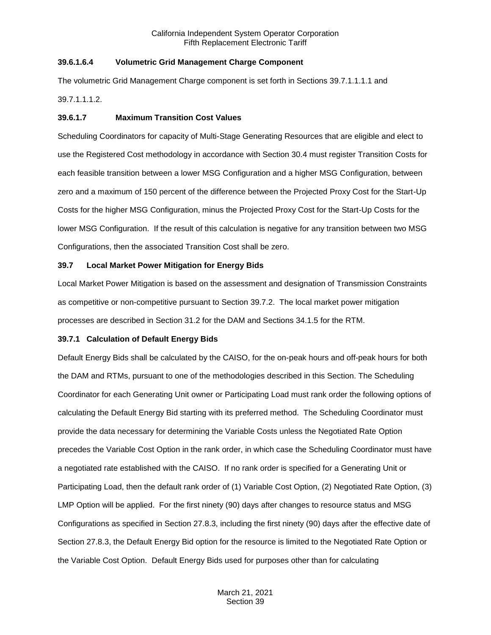## **39.6.1.6.4 Volumetric Grid Management Charge Component**

The volumetric Grid Management Charge component is set forth in Sections 39.7.1.1.1.1 and

39.7.1.1.1.2.

## **39.6.1.7 Maximum Transition Cost Values**

Scheduling Coordinators for capacity of Multi-Stage Generating Resources that are eligible and elect to use the Registered Cost methodology in accordance with Section 30.4 must register Transition Costs for each feasible transition between a lower MSG Configuration and a higher MSG Configuration, between zero and a maximum of 150 percent of the difference between the Projected Proxy Cost for the Start-Up Costs for the higher MSG Configuration, minus the Projected Proxy Cost for the Start-Up Costs for the lower MSG Configuration. If the result of this calculation is negative for any transition between two MSG Configurations, then the associated Transition Cost shall be zero.

## <span id="page-7-0"></span>**39.7 Local Market Power Mitigation for Energy Bids**

Local Market Power Mitigation is based on the assessment and designation of Transmission Constraints as competitive or non-competitive pursuant to Section 39.7.2. The local market power mitigation processes are described in Section 31.2 for the DAM and Sections 34.1.5 for the RTM.

## <span id="page-7-1"></span>**39.7.1 Calculation of Default Energy Bids**

Default Energy Bids shall be calculated by the CAISO, for the on-peak hours and off-peak hours for both the DAM and RTMs, pursuant to one of the methodologies described in this Section. The Scheduling Coordinator for each Generating Unit owner or Participating Load must rank order the following options of calculating the Default Energy Bid starting with its preferred method. The Scheduling Coordinator must provide the data necessary for determining the Variable Costs unless the Negotiated Rate Option precedes the Variable Cost Option in the rank order, in which case the Scheduling Coordinator must have a negotiated rate established with the CAISO. If no rank order is specified for a Generating Unit or Participating Load, then the default rank order of (1) Variable Cost Option, (2) Negotiated Rate Option, (3) LMP Option will be applied. For the first ninety (90) days after changes to resource status and MSG Configurations as specified in Section 27.8.3, including the first ninety (90) days after the effective date of Section 27.8.3, the Default Energy Bid option for the resource is limited to the Negotiated Rate Option or the Variable Cost Option. Default Energy Bids used for purposes other than for calculating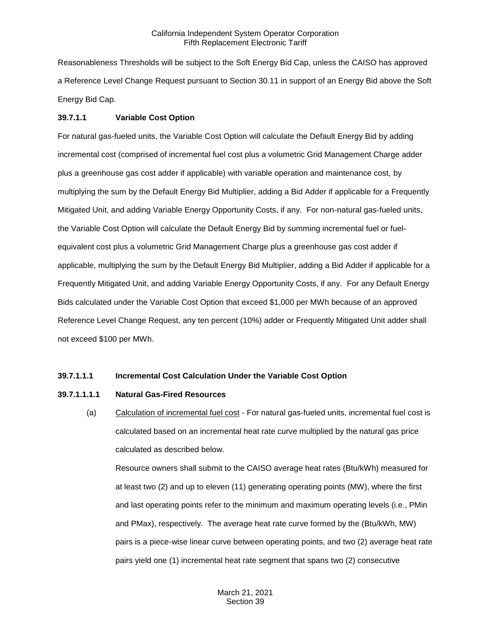Reasonableness Thresholds will be subject to the Soft Energy Bid Cap, unless the CAISO has approved a Reference Level Change Request pursuant to Section 30.11 in support of an Energy Bid above the Soft Energy Bid Cap.

## **39.7.1.1 Variable Cost Option**

For natural gas-fueled units, the Variable Cost Option will calculate the Default Energy Bid by adding incremental cost (comprised of incremental fuel cost plus a volumetric Grid Management Charge adder plus a greenhouse gas cost adder if applicable) with variable operation and maintenance cost, by multiplying the sum by the Default Energy Bid Multiplier, adding a Bid Adder if applicable for a Frequently Mitigated Unit, and adding Variable Energy Opportunity Costs, if any. For non-natural gas-fueled units, the Variable Cost Option will calculate the Default Energy Bid by summing incremental fuel or fuelequivalent cost plus a volumetric Grid Management Charge plus a greenhouse gas cost adder if applicable, multiplying the sum by the Default Energy Bid Multiplier, adding a Bid Adder if applicable for a Frequently Mitigated Unit, and adding Variable Energy Opportunity Costs, if any. For any Default Energy Bids calculated under the Variable Cost Option that exceed \$1,000 per MWh because of an approved Reference Level Change Request, any ten percent (10%) adder or Frequently Mitigated Unit adder shall not exceed \$100 per MWh.

#### **39.7.1.1.1 Incremental Cost Calculation Under the Variable Cost Option**

#### **39.7.1.1.1.1 Natural Gas-Fired Resources**

(a) Calculation of incremental fuel cost - For natural gas-fueled units, incremental fuel cost is calculated based on an incremental heat rate curve multiplied by the natural gas price calculated as described below.

Resource owners shall submit to the CAISO average heat rates (Btu/kWh) measured for at least two (2) and up to eleven (11) generating operating points (MW), where the first and last operating points refer to the minimum and maximum operating levels (i.e., PMin and PMax), respectively. The average heat rate curve formed by the (Btu/kWh, MW) pairs is a piece-wise linear curve between operating points, and two (2) average heat rate pairs yield one (1) incremental heat rate segment that spans two (2) consecutive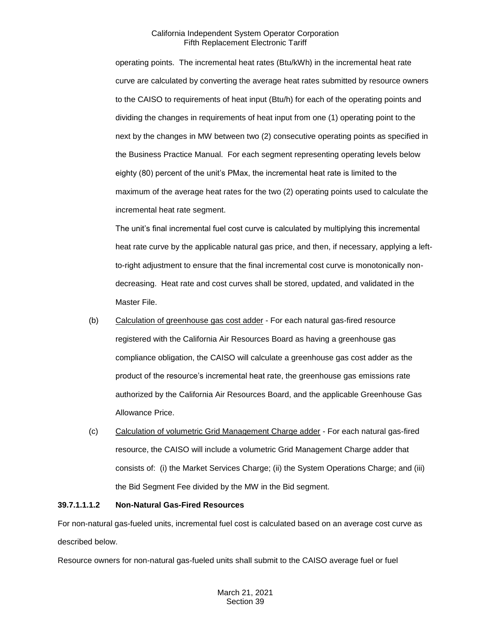operating points. The incremental heat rates (Btu/kWh) in the incremental heat rate curve are calculated by converting the average heat rates submitted by resource owners to the CAISO to requirements of heat input (Btu/h) for each of the operating points and dividing the changes in requirements of heat input from one (1) operating point to the next by the changes in MW between two (2) consecutive operating points as specified in the Business Practice Manual. For each segment representing operating levels below eighty (80) percent of the unit's PMax, the incremental heat rate is limited to the maximum of the average heat rates for the two (2) operating points used to calculate the incremental heat rate segment.

The unit's final incremental fuel cost curve is calculated by multiplying this incremental heat rate curve by the applicable natural gas price, and then, if necessary, applying a leftto-right adjustment to ensure that the final incremental cost curve is monotonically nondecreasing. Heat rate and cost curves shall be stored, updated, and validated in the Master File.

- (b) Calculation of greenhouse gas cost adder For each natural gas-fired resource registered with the California Air Resources Board as having a greenhouse gas compliance obligation, the CAISO will calculate a greenhouse gas cost adder as the product of the resource's incremental heat rate, the greenhouse gas emissions rate authorized by the California Air Resources Board, and the applicable Greenhouse Gas Allowance Price.
- (c) Calculation of volumetric Grid Management Charge adder For each natural gas-fired resource, the CAISO will include a volumetric Grid Management Charge adder that consists of: (i) the Market Services Charge; (ii) the System Operations Charge; and (iii) the Bid Segment Fee divided by the MW in the Bid segment.

## **39.7.1.1.1.2 Non-Natural Gas-Fired Resources**

For non-natural gas-fueled units, incremental fuel cost is calculated based on an average cost curve as described below.

Resource owners for non-natural gas-fueled units shall submit to the CAISO average fuel or fuel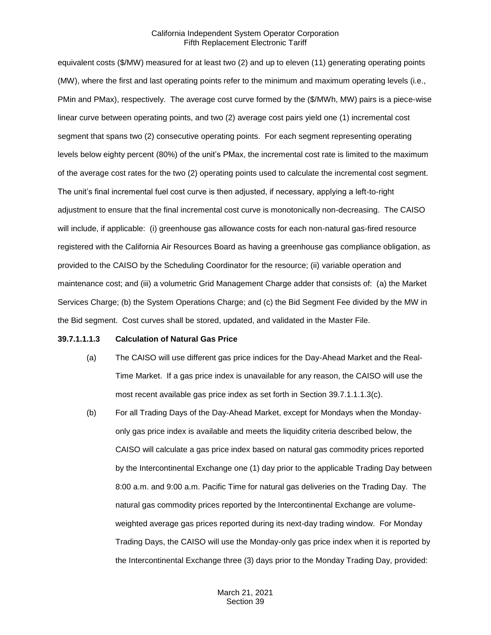equivalent costs (\$/MW) measured for at least two (2) and up to eleven (11) generating operating points (MW), where the first and last operating points refer to the minimum and maximum operating levels (i.e., PMin and PMax), respectively. The average cost curve formed by the (\$/MWh, MW) pairs is a piece-wise linear curve between operating points, and two (2) average cost pairs yield one (1) incremental cost segment that spans two (2) consecutive operating points. For each segment representing operating levels below eighty percent (80%) of the unit's PMax, the incremental cost rate is limited to the maximum of the average cost rates for the two (2) operating points used to calculate the incremental cost segment. The unit's final incremental fuel cost curve is then adjusted, if necessary, applying a left-to-right adjustment to ensure that the final incremental cost curve is monotonically non-decreasing. The CAISO will include, if applicable: (i) greenhouse gas allowance costs for each non-natural gas-fired resource registered with the California Air Resources Board as having a greenhouse gas compliance obligation, as provided to the CAISO by the Scheduling Coordinator for the resource; (ii) variable operation and maintenance cost; and (iii) a volumetric Grid Management Charge adder that consists of: (a) the Market Services Charge; (b) the System Operations Charge; and (c) the Bid Segment Fee divided by the MW in the Bid segment. Cost curves shall be stored, updated, and validated in the Master File.

#### **39.7.1.1.1.3 Calculation of Natural Gas Price**

- (a) The CAISO will use different gas price indices for the Day-Ahead Market and the Real-Time Market. If a gas price index is unavailable for any reason, the CAISO will use the most recent available gas price index as set forth in Section 39.7.1.1.1.3(c).
- (b) For all Trading Days of the Day-Ahead Market, except for Mondays when the Mondayonly gas price index is available and meets the liquidity criteria described below, the CAISO will calculate a gas price index based on natural gas commodity prices reported by the Intercontinental Exchange one (1) day prior to the applicable Trading Day between 8:00 a.m. and 9:00 a.m. Pacific Time for natural gas deliveries on the Trading Day. The natural gas commodity prices reported by the Intercontinental Exchange are volumeweighted average gas prices reported during its next-day trading window. For Monday Trading Days, the CAISO will use the Monday-only gas price index when it is reported by the Intercontinental Exchange three (3) days prior to the Monday Trading Day, provided: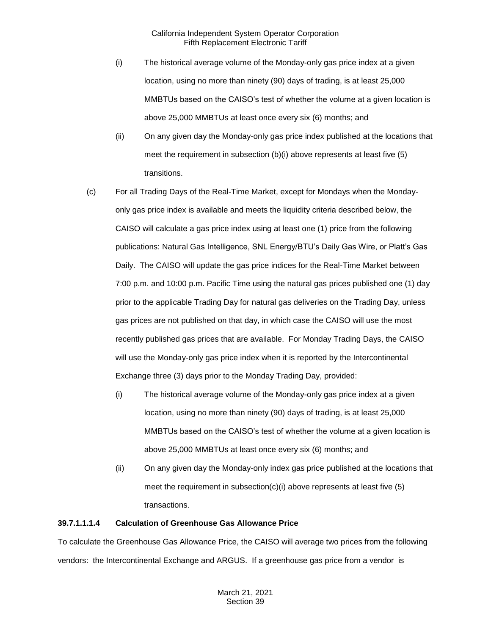- (i) The historical average volume of the Monday-only gas price index at a given location, using no more than ninety (90) days of trading, is at least 25,000 MMBTUs based on the CAISO's test of whether the volume at a given location is above 25,000 MMBTUs at least once every six (6) months; and
- (ii) On any given day the Monday-only gas price index published at the locations that meet the requirement in subsection (b)(i) above represents at least five (5) transitions.
- (c) For all Trading Days of the Real-Time Market, except for Mondays when the Mondayonly gas price index is available and meets the liquidity criteria described below, the CAISO will calculate a gas price index using at least one (1) price from the following publications: Natural Gas Intelligence, SNL Energy/BTU's Daily Gas Wire, or Platt's Gas Daily. The CAISO will update the gas price indices for the Real-Time Market between 7:00 p.m. and 10:00 p.m. Pacific Time using the natural gas prices published one (1) day prior to the applicable Trading Day for natural gas deliveries on the Trading Day, unless gas prices are not published on that day, in which case the CAISO will use the most recently published gas prices that are available. For Monday Trading Days, the CAISO will use the Monday-only gas price index when it is reported by the Intercontinental Exchange three (3) days prior to the Monday Trading Day, provided:
	- (i) The historical average volume of the Monday-only gas price index at a given location, using no more than ninety (90) days of trading, is at least 25,000 MMBTUs based on the CAISO's test of whether the volume at a given location is above 25,000 MMBTUs at least once every six (6) months; and
	- (ii) On any given day the Monday-only index gas price published at the locations that meet the requirement in subsection(c)(i) above represents at least five  $(5)$ transactions.

## **39.7.1.1.1.4 Calculation of Greenhouse Gas Allowance Price**

To calculate the Greenhouse Gas Allowance Price, the CAISO will average two prices from the following vendors: the Intercontinental Exchange and ARGUS. If a greenhouse gas price from a vendor is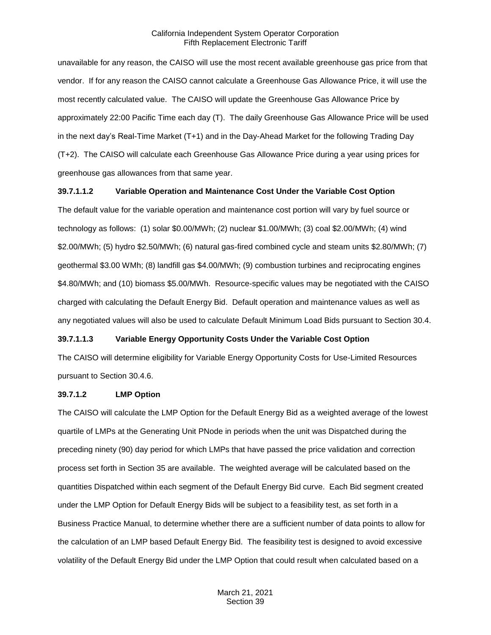unavailable for any reason, the CAISO will use the most recent available greenhouse gas price from that vendor. If for any reason the CAISO cannot calculate a Greenhouse Gas Allowance Price, it will use the most recently calculated value. The CAISO will update the Greenhouse Gas Allowance Price by approximately 22:00 Pacific Time each day (T). The daily Greenhouse Gas Allowance Price will be used in the next day's Real-Time Market (T+1) and in the Day-Ahead Market for the following Trading Day (T+2). The CAISO will calculate each Greenhouse Gas Allowance Price during a year using prices for greenhouse gas allowances from that same year.

#### **39.7.1.1.2 Variable Operation and Maintenance Cost Under the Variable Cost Option**

The default value for the variable operation and maintenance cost portion will vary by fuel source or technology as follows: (1) solar \$0.00/MWh; (2) nuclear \$1.00/MWh; (3) coal \$2.00/MWh; (4) wind \$2.00/MWh; (5) hydro \$2.50/MWh; (6) natural gas-fired combined cycle and steam units \$2.80/MWh; (7) geothermal \$3.00 WMh; (8) landfill gas \$4.00/MWh; (9) combustion turbines and reciprocating engines \$4.80/MWh; and (10) biomass \$5.00/MWh. Resource-specific values may be negotiated with the CAISO charged with calculating the Default Energy Bid. Default operation and maintenance values as well as any negotiated values will also be used to calculate Default Minimum Load Bids pursuant to Section 30.4.

#### **39.7.1.1.3 Variable Energy Opportunity Costs Under the Variable Cost Option**

The CAISO will determine eligibility for Variable Energy Opportunity Costs for Use-Limited Resources pursuant to Section 30.4.6.

#### **39.7.1.2 LMP Option**

The CAISO will calculate the LMP Option for the Default Energy Bid as a weighted average of the lowest quartile of LMPs at the Generating Unit PNode in periods when the unit was Dispatched during the preceding ninety (90) day period for which LMPs that have passed the price validation and correction process set forth in Section 35 are available. The weighted average will be calculated based on the quantities Dispatched within each segment of the Default Energy Bid curve. Each Bid segment created under the LMP Option for Default Energy Bids will be subject to a feasibility test, as set forth in a Business Practice Manual, to determine whether there are a sufficient number of data points to allow for the calculation of an LMP based Default Energy Bid. The feasibility test is designed to avoid excessive volatility of the Default Energy Bid under the LMP Option that could result when calculated based on a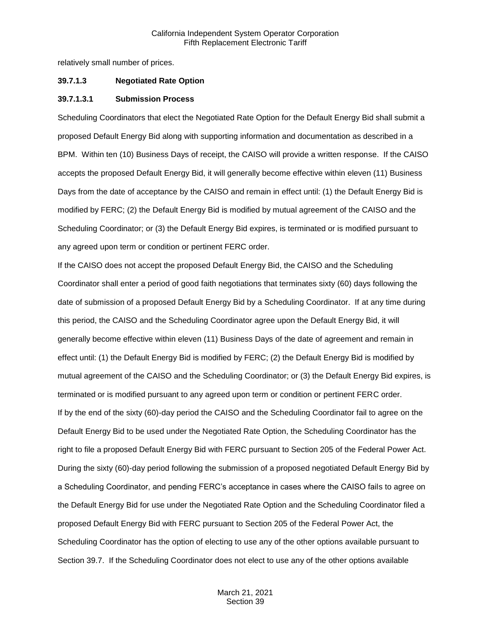relatively small number of prices.

#### **39.7.1.3 Negotiated Rate Option**

#### **39.7.1.3.1 Submission Process**

Scheduling Coordinators that elect the Negotiated Rate Option for the Default Energy Bid shall submit a proposed Default Energy Bid along with supporting information and documentation as described in a BPM. Within ten (10) Business Days of receipt, the CAISO will provide a written response. If the CAISO accepts the proposed Default Energy Bid, it will generally become effective within eleven (11) Business Days from the date of acceptance by the CAISO and remain in effect until: (1) the Default Energy Bid is modified by FERC; (2) the Default Energy Bid is modified by mutual agreement of the CAISO and the Scheduling Coordinator; or (3) the Default Energy Bid expires, is terminated or is modified pursuant to any agreed upon term or condition or pertinent FERC order.

If the CAISO does not accept the proposed Default Energy Bid, the CAISO and the Scheduling Coordinator shall enter a period of good faith negotiations that terminates sixty (60) days following the date of submission of a proposed Default Energy Bid by a Scheduling Coordinator. If at any time during this period, the CAISO and the Scheduling Coordinator agree upon the Default Energy Bid, it will generally become effective within eleven (11) Business Days of the date of agreement and remain in effect until: (1) the Default Energy Bid is modified by FERC; (2) the Default Energy Bid is modified by mutual agreement of the CAISO and the Scheduling Coordinator; or (3) the Default Energy Bid expires, is terminated or is modified pursuant to any agreed upon term or condition or pertinent FERC order. If by the end of the sixty (60)-day period the CAISO and the Scheduling Coordinator fail to agree on the Default Energy Bid to be used under the Negotiated Rate Option, the Scheduling Coordinator has the right to file a proposed Default Energy Bid with FERC pursuant to Section 205 of the Federal Power Act. During the sixty (60)-day period following the submission of a proposed negotiated Default Energy Bid by a Scheduling Coordinator, and pending FERC's acceptance in cases where the CAISO fails to agree on the Default Energy Bid for use under the Negotiated Rate Option and the Scheduling Coordinator filed a proposed Default Energy Bid with FERC pursuant to Section 205 of the Federal Power Act, the Scheduling Coordinator has the option of electing to use any of the other options available pursuant to Section 39.7. If the Scheduling Coordinator does not elect to use any of the other options available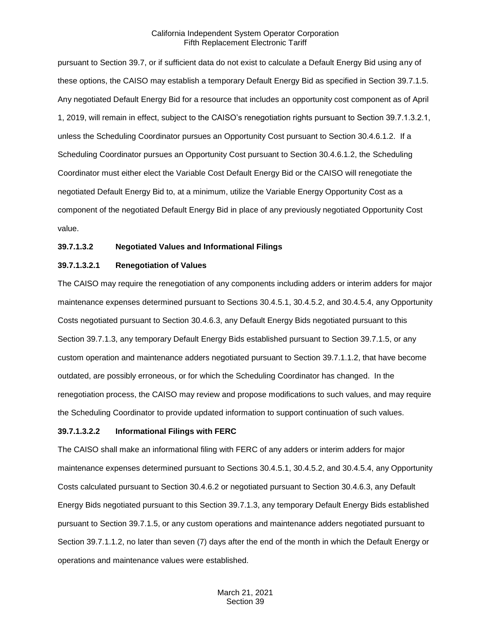pursuant to Section 39.7, or if sufficient data do not exist to calculate a Default Energy Bid using any of these options, the CAISO may establish a temporary Default Energy Bid as specified in Section 39.7.1.5. Any negotiated Default Energy Bid for a resource that includes an opportunity cost component as of April 1, 2019, will remain in effect, subject to the CAISO's renegotiation rights pursuant to Section 39.7.1.3.2.1, unless the Scheduling Coordinator pursues an Opportunity Cost pursuant to Section 30.4.6.1.2. If a Scheduling Coordinator pursues an Opportunity Cost pursuant to Section 30.4.6.1.2, the Scheduling Coordinator must either elect the Variable Cost Default Energy Bid or the CAISO will renegotiate the negotiated Default Energy Bid to, at a minimum, utilize the Variable Energy Opportunity Cost as a component of the negotiated Default Energy Bid in place of any previously negotiated Opportunity Cost value.

#### **39.7.1.3.2 Negotiated Values and Informational Filings**

#### **39.7.1.3.2.1 Renegotiation of Values**

The CAISO may require the renegotiation of any components including adders or interim adders for major maintenance expenses determined pursuant to Sections 30.4.5.1, 30.4.5.2, and 30.4.5.4, any Opportunity Costs negotiated pursuant to Section 30.4.6.3, any Default Energy Bids negotiated pursuant to this Section 39.7.1.3, any temporary Default Energy Bids established pursuant to Section 39.7.1.5, or any custom operation and maintenance adders negotiated pursuant to Section 39.7.1.1.2, that have become outdated, are possibly erroneous, or for which the Scheduling Coordinator has changed. In the renegotiation process, the CAISO may review and propose modifications to such values, and may require the Scheduling Coordinator to provide updated information to support continuation of such values.

#### **39.7.1.3.2.2 Informational Filings with FERC**

The CAISO shall make an informational filing with FERC of any adders or interim adders for major maintenance expenses determined pursuant to Sections 30.4.5.1, 30.4.5.2, and 30.4.5.4, any Opportunity Costs calculated pursuant to Section 30.4.6.2 or negotiated pursuant to Section 30.4.6.3, any Default Energy Bids negotiated pursuant to this Section 39.7.1.3, any temporary Default Energy Bids established pursuant to Section 39.7.1.5, or any custom operations and maintenance adders negotiated pursuant to Section 39.7.1.1.2, no later than seven (7) days after the end of the month in which the Default Energy or operations and maintenance values were established.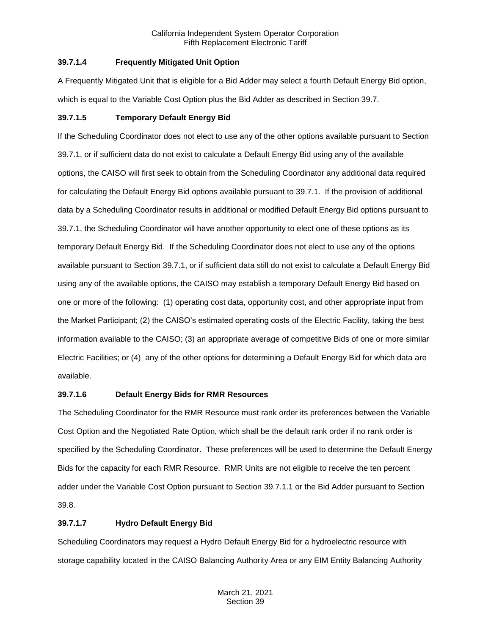## **39.7.1.4 Frequently Mitigated Unit Option**

A Frequently Mitigated Unit that is eligible for a Bid Adder may select a fourth Default Energy Bid option, which is equal to the Variable Cost Option plus the Bid Adder as described in Section 39.7.

## **39.7.1.5 Temporary Default Energy Bid**

If the Scheduling Coordinator does not elect to use any of the other options available pursuant to Section 39.7.1, or if sufficient data do not exist to calculate a Default Energy Bid using any of the available options, the CAISO will first seek to obtain from the Scheduling Coordinator any additional data required for calculating the Default Energy Bid options available pursuant to 39.7.1. If the provision of additional data by a Scheduling Coordinator results in additional or modified Default Energy Bid options pursuant to 39.7.1, the Scheduling Coordinator will have another opportunity to elect one of these options as its temporary Default Energy Bid. If the Scheduling Coordinator does not elect to use any of the options available pursuant to Section 39.7.1, or if sufficient data still do not exist to calculate a Default Energy Bid using any of the available options, the CAISO may establish a temporary Default Energy Bid based on one or more of the following: (1) operating cost data, opportunity cost, and other appropriate input from the Market Participant; (2) the CAISO's estimated operating costs of the Electric Facility, taking the best information available to the CAISO; (3) an appropriate average of competitive Bids of one or more similar Electric Facilities; or (4) any of the other options for determining a Default Energy Bid for which data are available.

## **39.7.1.6 Default Energy Bids for RMR Resources**

The Scheduling Coordinator for the RMR Resource must rank order its preferences between the Variable Cost Option and the Negotiated Rate Option, which shall be the default rank order if no rank order is specified by the Scheduling Coordinator. These preferences will be used to determine the Default Energy Bids for the capacity for each RMR Resource. RMR Units are not eligible to receive the ten percent adder under the Variable Cost Option pursuant to Section 39.7.1.1 or the Bid Adder pursuant to Section 39.8.

## **39.7.1.7 Hydro Default Energy Bid**

Scheduling Coordinators may request a Hydro Default Energy Bid for a hydroelectric resource with storage capability located in the CAISO Balancing Authority Area or any EIM Entity Balancing Authority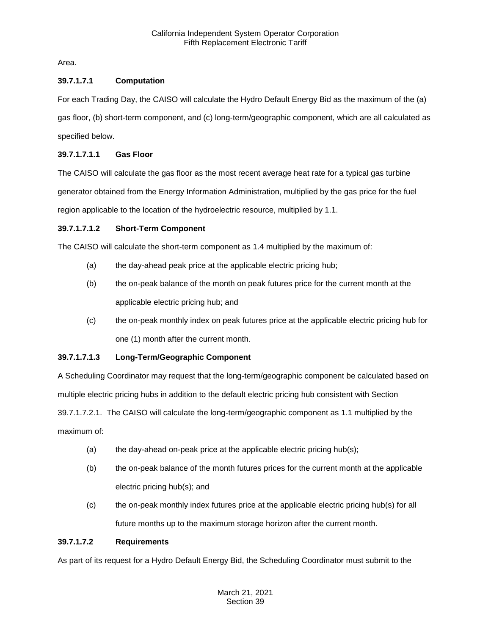Area.

# **39.7.1.7.1 Computation**

For each Trading Day, the CAISO will calculate the Hydro Default Energy Bid as the maximum of the (a)

gas floor, (b) short-term component, and (c) long-term/geographic component, which are all calculated as specified below.

# **39.7.1.7.1.1 Gas Floor**

The CAISO will calculate the gas floor as the most recent average heat rate for a typical gas turbine generator obtained from the Energy Information Administration, multiplied by the gas price for the fuel region applicable to the location of the hydroelectric resource, multiplied by 1.1.

# **39.7.1.7.1.2 Short-Term Component**

The CAISO will calculate the short-term component as 1.4 multiplied by the maximum of:

- (a) the day-ahead peak price at the applicable electric pricing hub;
- (b) the on-peak balance of the month on peak futures price for the current month at the applicable electric pricing hub; and
- (c) the on-peak monthly index on peak futures price at the applicable electric pricing hub for one (1) month after the current month.

# **39.7.1.7.1.3 Long-Term/Geographic Component**

A Scheduling Coordinator may request that the long-term/geographic component be calculated based on multiple electric pricing hubs in addition to the default electric pricing hub consistent with Section 39.7.1.7.2.1. The CAISO will calculate the long-term/geographic component as 1.1 multiplied by the maximum of:

- (a) the day-ahead on-peak price at the applicable electric pricing hub(s);
- (b) the on-peak balance of the month futures prices for the current month at the applicable electric pricing hub(s); and
- (c) the on-peak monthly index futures price at the applicable electric pricing hub(s) for all future months up to the maximum storage horizon after the current month.

## **39.7.1.7.2 Requirements**

As part of its request for a Hydro Default Energy Bid, the Scheduling Coordinator must submit to the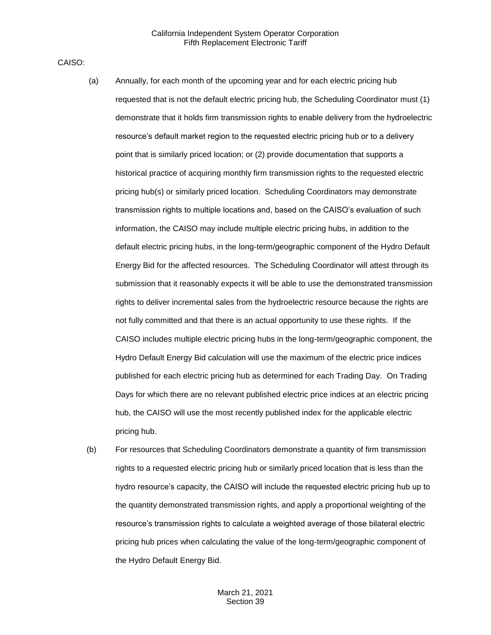CAISO:

- (a) Annually, for each month of the upcoming year and for each electric pricing hub requested that is not the default electric pricing hub, the Scheduling Coordinator must (1) demonstrate that it holds firm transmission rights to enable delivery from the hydroelectric resource's default market region to the requested electric pricing hub or to a delivery point that is similarly priced location; or (2) provide documentation that supports a historical practice of acquiring monthly firm transmission rights to the requested electric pricing hub(s) or similarly priced location. Scheduling Coordinators may demonstrate transmission rights to multiple locations and, based on the CAISO's evaluation of such information, the CAISO may include multiple electric pricing hubs, in addition to the default electric pricing hubs, in the long-term/geographic component of the Hydro Default Energy Bid for the affected resources. The Scheduling Coordinator will attest through its submission that it reasonably expects it will be able to use the demonstrated transmission rights to deliver incremental sales from the hydroelectric resource because the rights are not fully committed and that there is an actual opportunity to use these rights. If the CAISO includes multiple electric pricing hubs in the long-term/geographic component, the Hydro Default Energy Bid calculation will use the maximum of the electric price indices published for each electric pricing hub as determined for each Trading Day. On Trading Days for which there are no relevant published electric price indices at an electric pricing hub, the CAISO will use the most recently published index for the applicable electric pricing hub.
- (b) For resources that Scheduling Coordinators demonstrate a quantity of firm transmission rights to a requested electric pricing hub or similarly priced location that is less than the hydro resource's capacity, the CAISO will include the requested electric pricing hub up to the quantity demonstrated transmission rights, and apply a proportional weighting of the resource's transmission rights to calculate a weighted average of those bilateral electric pricing hub prices when calculating the value of the long-term/geographic component of the Hydro Default Energy Bid.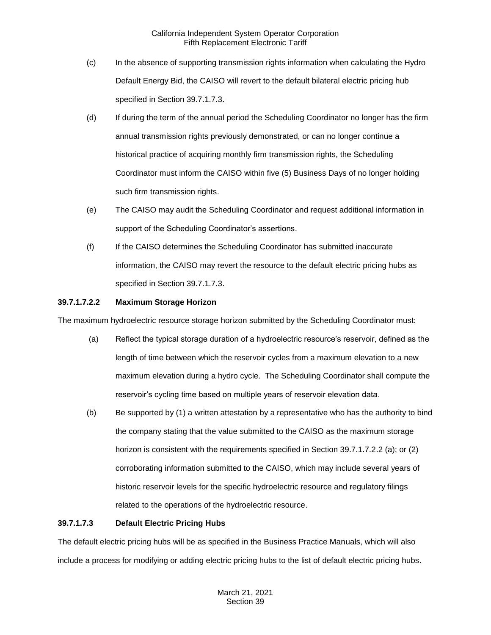- (c) In the absence of supporting transmission rights information when calculating the Hydro Default Energy Bid, the CAISO will revert to the default bilateral electric pricing hub specified in Section 39.7.1.7.3.
- (d) If during the term of the annual period the Scheduling Coordinator no longer has the firm annual transmission rights previously demonstrated, or can no longer continue a historical practice of acquiring monthly firm transmission rights, the Scheduling Coordinator must inform the CAISO within five (5) Business Days of no longer holding such firm transmission rights.
- (e) The CAISO may audit the Scheduling Coordinator and request additional information in support of the Scheduling Coordinator's assertions.
- (f) If the CAISO determines the Scheduling Coordinator has submitted inaccurate information, the CAISO may revert the resource to the default electric pricing hubs as specified in Section 39.7.1.7.3.

## **39.7.1.7.2.2 Maximum Storage Horizon**

The maximum hydroelectric resource storage horizon submitted by the Scheduling Coordinator must:

- (a) Reflect the typical storage duration of a hydroelectric resource's reservoir, defined as the length of time between which the reservoir cycles from a maximum elevation to a new maximum elevation during a hydro cycle. The Scheduling Coordinator shall compute the reservoir's cycling time based on multiple years of reservoir elevation data.
- (b) Be supported by (1) a written attestation by a representative who has the authority to bind the company stating that the value submitted to the CAISO as the maximum storage horizon is consistent with the requirements specified in Section 39.7.1.7.2.2 (a); or (2) corroborating information submitted to the CAISO, which may include several years of historic reservoir levels for the specific hydroelectric resource and regulatory filings related to the operations of the hydroelectric resource.

## **39.7.1.7.3 Default Electric Pricing Hubs**

The default electric pricing hubs will be as specified in the Business Practice Manuals, which will also include a process for modifying or adding electric pricing hubs to the list of default electric pricing hubs.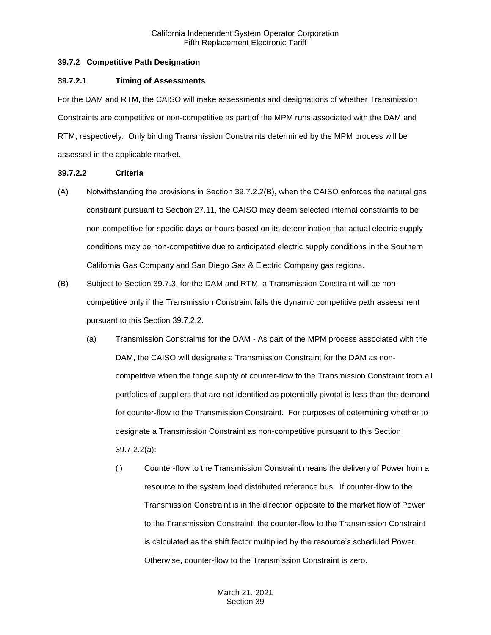## <span id="page-19-0"></span>**39.7.2 Competitive Path Designation**

#### **39.7.2.1 Timing of Assessments**

For the DAM and RTM, the CAISO will make assessments and designations of whether Transmission Constraints are competitive or non-competitive as part of the MPM runs associated with the DAM and RTM, respectively. Only binding Transmission Constraints determined by the MPM process will be assessed in the applicable market.

## **39.7.2.2 Criteria**

- (A) Notwithstanding the provisions in Section 39.7.2.2(B), when the CAISO enforces the natural gas constraint pursuant to Section 27.11, the CAISO may deem selected internal constraints to be non-competitive for specific days or hours based on its determination that actual electric supply conditions may be non-competitive due to anticipated electric supply conditions in the Southern California Gas Company and San Diego Gas & Electric Company gas regions.
- (B) Subject to Section 39.7.3, for the DAM and RTM, a Transmission Constraint will be noncompetitive only if the Transmission Constraint fails the dynamic competitive path assessment pursuant to this Section 39.7.2.2.
	- (a) Transmission Constraints for the DAM As part of the MPM process associated with the DAM, the CAISO will designate a Transmission Constraint for the DAM as noncompetitive when the fringe supply of counter-flow to the Transmission Constraint from all portfolios of suppliers that are not identified as potentially pivotal is less than the demand for counter-flow to the Transmission Constraint. For purposes of determining whether to designate a Transmission Constraint as non-competitive pursuant to this Section 39.7.2.2(a):
		- (i) Counter-flow to the Transmission Constraint means the delivery of Power from a resource to the system load distributed reference bus. If counter-flow to the Transmission Constraint is in the direction opposite to the market flow of Power to the Transmission Constraint, the counter-flow to the Transmission Constraint is calculated as the shift factor multiplied by the resource's scheduled Power. Otherwise, counter-flow to the Transmission Constraint is zero.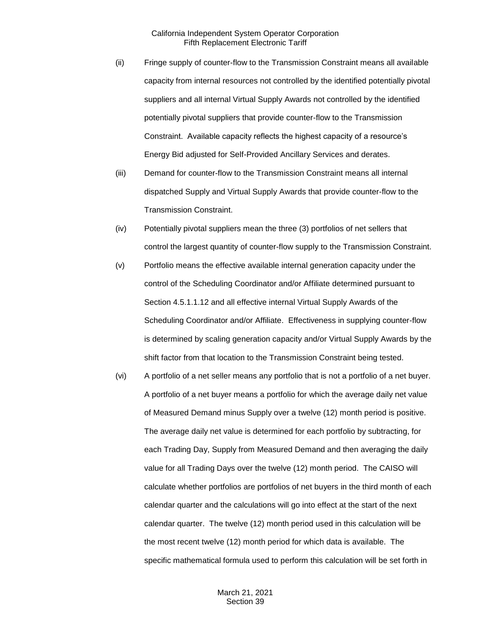- (ii) Fringe supply of counter-flow to the Transmission Constraint means all available capacity from internal resources not controlled by the identified potentially pivotal suppliers and all internal Virtual Supply Awards not controlled by the identified potentially pivotal suppliers that provide counter-flow to the Transmission Constraint. Available capacity reflects the highest capacity of a resource's Energy Bid adjusted for Self-Provided Ancillary Services and derates.
- (iii) Demand for counter-flow to the Transmission Constraint means all internal dispatched Supply and Virtual Supply Awards that provide counter-flow to the Transmission Constraint.
- (iv) Potentially pivotal suppliers mean the three (3) portfolios of net sellers that control the largest quantity of counter-flow supply to the Transmission Constraint.
- (v) Portfolio means the effective available internal generation capacity under the control of the Scheduling Coordinator and/or Affiliate determined pursuant to Section 4.5.1.1.12 and all effective internal Virtual Supply Awards of the Scheduling Coordinator and/or Affiliate. Effectiveness in supplying counter-flow is determined by scaling generation capacity and/or Virtual Supply Awards by the shift factor from that location to the Transmission Constraint being tested.
- (vi) A portfolio of a net seller means any portfolio that is not a portfolio of a net buyer. A portfolio of a net buyer means a portfolio for which the average daily net value of Measured Demand minus Supply over a twelve (12) month period is positive. The average daily net value is determined for each portfolio by subtracting, for each Trading Day, Supply from Measured Demand and then averaging the daily value for all Trading Days over the twelve (12) month period. The CAISO will calculate whether portfolios are portfolios of net buyers in the third month of each calendar quarter and the calculations will go into effect at the start of the next calendar quarter. The twelve (12) month period used in this calculation will be the most recent twelve (12) month period for which data is available. The specific mathematical formula used to perform this calculation will be set forth in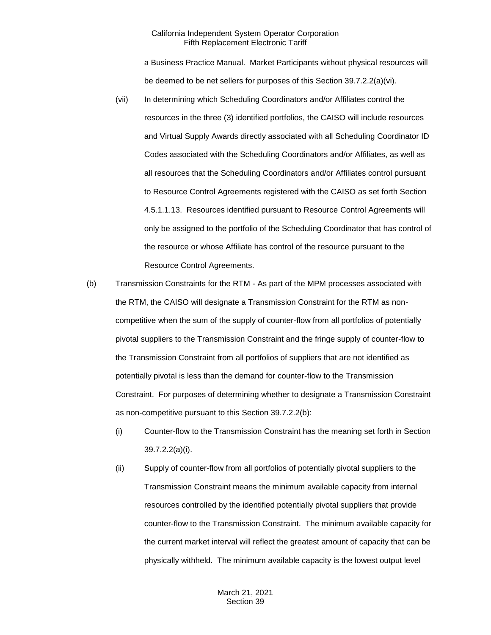a Business Practice Manual. Market Participants without physical resources will be deemed to be net sellers for purposes of this Section 39.7.2.2(a)(vi).

- (vii) In determining which Scheduling Coordinators and/or Affiliates control the resources in the three (3) identified portfolios, the CAISO will include resources and Virtual Supply Awards directly associated with all Scheduling Coordinator ID Codes associated with the Scheduling Coordinators and/or Affiliates, as well as all resources that the Scheduling Coordinators and/or Affiliates control pursuant to Resource Control Agreements registered with the CAISO as set forth Section 4.5.1.1.13. Resources identified pursuant to Resource Control Agreements will only be assigned to the portfolio of the Scheduling Coordinator that has control of the resource or whose Affiliate has control of the resource pursuant to the Resource Control Agreements.
- (b) Transmission Constraints for the RTM As part of the MPM processes associated with the RTM, the CAISO will designate a Transmission Constraint for the RTM as noncompetitive when the sum of the supply of counter-flow from all portfolios of potentially pivotal suppliers to the Transmission Constraint and the fringe supply of counter-flow to the Transmission Constraint from all portfolios of suppliers that are not identified as potentially pivotal is less than the demand for counter-flow to the Transmission Constraint. For purposes of determining whether to designate a Transmission Constraint as non-competitive pursuant to this Section 39.7.2.2(b):
	- (i) Counter-flow to the Transmission Constraint has the meaning set forth in Section 39.7.2.2(a)(i).
	- (ii) Supply of counter-flow from all portfolios of potentially pivotal suppliers to the Transmission Constraint means the minimum available capacity from internal resources controlled by the identified potentially pivotal suppliers that provide counter-flow to the Transmission Constraint. The minimum available capacity for the current market interval will reflect the greatest amount of capacity that can be physically withheld. The minimum available capacity is the lowest output level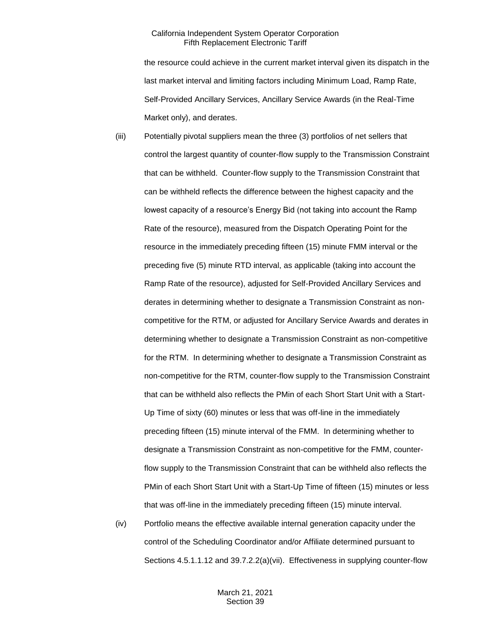the resource could achieve in the current market interval given its dispatch in the last market interval and limiting factors including Minimum Load, Ramp Rate, Self-Provided Ancillary Services, Ancillary Service Awards (in the Real-Time Market only), and derates.

- (iii) Potentially pivotal suppliers mean the three (3) portfolios of net sellers that control the largest quantity of counter-flow supply to the Transmission Constraint that can be withheld. Counter-flow supply to the Transmission Constraint that can be withheld reflects the difference between the highest capacity and the lowest capacity of a resource's Energy Bid (not taking into account the Ramp Rate of the resource), measured from the Dispatch Operating Point for the resource in the immediately preceding fifteen (15) minute FMM interval or the preceding five (5) minute RTD interval, as applicable (taking into account the Ramp Rate of the resource), adjusted for Self-Provided Ancillary Services and derates in determining whether to designate a Transmission Constraint as noncompetitive for the RTM, or adjusted for Ancillary Service Awards and derates in determining whether to designate a Transmission Constraint as non-competitive for the RTM. In determining whether to designate a Transmission Constraint as non-competitive for the RTM, counter-flow supply to the Transmission Constraint that can be withheld also reflects the PMin of each Short Start Unit with a Start-Up Time of sixty (60) minutes or less that was off-line in the immediately preceding fifteen (15) minute interval of the FMM. In determining whether to designate a Transmission Constraint as non-competitive for the FMM, counterflow supply to the Transmission Constraint that can be withheld also reflects the PMin of each Short Start Unit with a Start-Up Time of fifteen (15) minutes or less that was off-line in the immediately preceding fifteen (15) minute interval.
- (iv) Portfolio means the effective available internal generation capacity under the control of the Scheduling Coordinator and/or Affiliate determined pursuant to Sections 4.5.1.1.12 and 39.7.2.2(a)(vii). Effectiveness in supplying counter-flow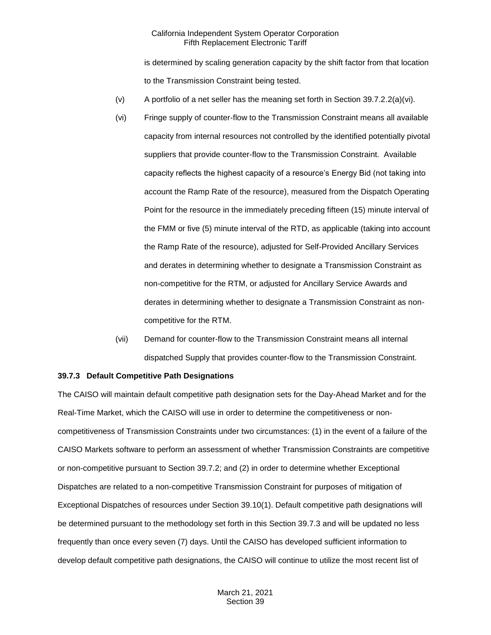is determined by scaling generation capacity by the shift factor from that location to the Transmission Constraint being tested.

- (v) A portfolio of a net seller has the meaning set forth in Section  $39.7.2.2(a)(vi)$ .
- (vi) Fringe supply of counter-flow to the Transmission Constraint means all available capacity from internal resources not controlled by the identified potentially pivotal suppliers that provide counter-flow to the Transmission Constraint. Available capacity reflects the highest capacity of a resource's Energy Bid (not taking into account the Ramp Rate of the resource), measured from the Dispatch Operating Point for the resource in the immediately preceding fifteen (15) minute interval of the FMM or five (5) minute interval of the RTD, as applicable (taking into account the Ramp Rate of the resource), adjusted for Self-Provided Ancillary Services and derates in determining whether to designate a Transmission Constraint as non-competitive for the RTM, or adjusted for Ancillary Service Awards and derates in determining whether to designate a Transmission Constraint as noncompetitive for the RTM.
- (vii) Demand for counter-flow to the Transmission Constraint means all internal dispatched Supply that provides counter-flow to the Transmission Constraint.

#### <span id="page-23-0"></span>**39.7.3 Default Competitive Path Designations**

The CAISO will maintain default competitive path designation sets for the Day-Ahead Market and for the Real-Time Market, which the CAISO will use in order to determine the competitiveness or noncompetitiveness of Transmission Constraints under two circumstances: (1) in the event of a failure of the CAISO Markets software to perform an assessment of whether Transmission Constraints are competitive or non-competitive pursuant to Section 39.7.2; and (2) in order to determine whether Exceptional Dispatches are related to a non-competitive Transmission Constraint for purposes of mitigation of Exceptional Dispatches of resources under Section 39.10(1). Default competitive path designations will be determined pursuant to the methodology set forth in this Section 39.7.3 and will be updated no less frequently than once every seven (7) days. Until the CAISO has developed sufficient information to develop default competitive path designations, the CAISO will continue to utilize the most recent list of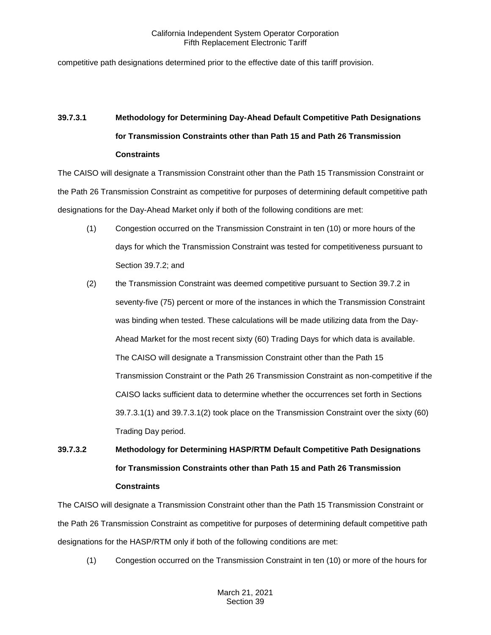competitive path designations determined prior to the effective date of this tariff provision.

# **39.7.3.1 Methodology for Determining Day-Ahead Default Competitive Path Designations for Transmission Constraints other than Path 15 and Path 26 Transmission Constraints**

The CAISO will designate a Transmission Constraint other than the Path 15 Transmission Constraint or the Path 26 Transmission Constraint as competitive for purposes of determining default competitive path designations for the Day-Ahead Market only if both of the following conditions are met:

- (1) Congestion occurred on the Transmission Constraint in ten (10) or more hours of the days for which the Transmission Constraint was tested for competitiveness pursuant to Section 39.7.2; and
- (2) the Transmission Constraint was deemed competitive pursuant to Section 39.7.2 in seventy-five (75) percent or more of the instances in which the Transmission Constraint was binding when tested. These calculations will be made utilizing data from the Day-Ahead Market for the most recent sixty (60) Trading Days for which data is available. The CAISO will designate a Transmission Constraint other than the Path 15 Transmission Constraint or the Path 26 Transmission Constraint as non-competitive if the CAISO lacks sufficient data to determine whether the occurrences set forth in Sections 39.7.3.1(1) and 39.7.3.1(2) took place on the Transmission Constraint over the sixty (60) Trading Day period.

# **39.7.3.2 Methodology for Determining HASP/RTM Default Competitive Path Designations for Transmission Constraints other than Path 15 and Path 26 Transmission Constraints**

The CAISO will designate a Transmission Constraint other than the Path 15 Transmission Constraint or the Path 26 Transmission Constraint as competitive for purposes of determining default competitive path designations for the HASP/RTM only if both of the following conditions are met:

(1) Congestion occurred on the Transmission Constraint in ten (10) or more of the hours for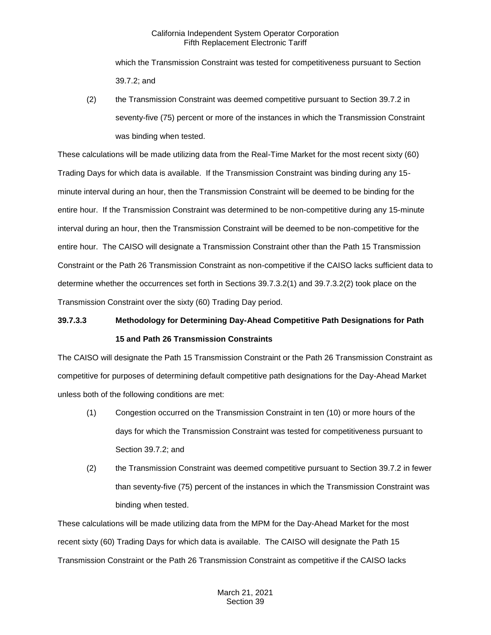which the Transmission Constraint was tested for competitiveness pursuant to Section 39.7.2; and

(2) the Transmission Constraint was deemed competitive pursuant to Section 39.7.2 in seventy-five (75) percent or more of the instances in which the Transmission Constraint was binding when tested.

These calculations will be made utilizing data from the Real-Time Market for the most recent sixty (60) Trading Days for which data is available. If the Transmission Constraint was binding during any 15 minute interval during an hour, then the Transmission Constraint will be deemed to be binding for the entire hour. If the Transmission Constraint was determined to be non-competitive during any 15-minute interval during an hour, then the Transmission Constraint will be deemed to be non-competitive for the entire hour. The CAISO will designate a Transmission Constraint other than the Path 15 Transmission Constraint or the Path 26 Transmission Constraint as non-competitive if the CAISO lacks sufficient data to determine whether the occurrences set forth in Sections 39.7.3.2(1) and 39.7.3.2(2) took place on the Transmission Constraint over the sixty (60) Trading Day period.

# **39.7.3.3 Methodology for Determining Day-Ahead Competitive Path Designations for Path 15 and Path 26 Transmission Constraints**

The CAISO will designate the Path 15 Transmission Constraint or the Path 26 Transmission Constraint as competitive for purposes of determining default competitive path designations for the Day-Ahead Market unless both of the following conditions are met:

- (1) Congestion occurred on the Transmission Constraint in ten (10) or more hours of the days for which the Transmission Constraint was tested for competitiveness pursuant to Section 39.7.2; and
- (2) the Transmission Constraint was deemed competitive pursuant to Section 39.7.2 in fewer than seventy-five (75) percent of the instances in which the Transmission Constraint was binding when tested.

These calculations will be made utilizing data from the MPM for the Day-Ahead Market for the most recent sixty (60) Trading Days for which data is available. The CAISO will designate the Path 15 Transmission Constraint or the Path 26 Transmission Constraint as competitive if the CAISO lacks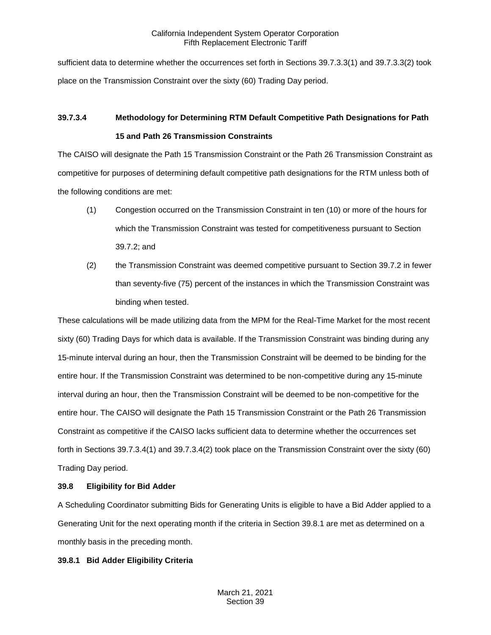sufficient data to determine whether the occurrences set forth in Sections 39.7.3.3(1) and 39.7.3.3(2) took place on the Transmission Constraint over the sixty (60) Trading Day period.

# **39.7.3.4 Methodology for Determining RTM Default Competitive Path Designations for Path 15 and Path 26 Transmission Constraints**

The CAISO will designate the Path 15 Transmission Constraint or the Path 26 Transmission Constraint as competitive for purposes of determining default competitive path designations for the RTM unless both of the following conditions are met:

- (1) Congestion occurred on the Transmission Constraint in ten (10) or more of the hours for which the Transmission Constraint was tested for competitiveness pursuant to Section 39.7.2; and
- (2) the Transmission Constraint was deemed competitive pursuant to Section 39.7.2 in fewer than seventy-five (75) percent of the instances in which the Transmission Constraint was binding when tested.

These calculations will be made utilizing data from the MPM for the Real-Time Market for the most recent sixty (60) Trading Days for which data is available. If the Transmission Constraint was binding during any 15-minute interval during an hour, then the Transmission Constraint will be deemed to be binding for the entire hour. If the Transmission Constraint was determined to be non-competitive during any 15-minute interval during an hour, then the Transmission Constraint will be deemed to be non-competitive for the entire hour. The CAISO will designate the Path 15 Transmission Constraint or the Path 26 Transmission Constraint as competitive if the CAISO lacks sufficient data to determine whether the occurrences set forth in Sections 39.7.3.4(1) and 39.7.3.4(2) took place on the Transmission Constraint over the sixty (60) Trading Day period.

# <span id="page-26-0"></span>**39.8 Eligibility for Bid Adder**

A Scheduling Coordinator submitting Bids for Generating Units is eligible to have a Bid Adder applied to a Generating Unit for the next operating month if the criteria in Section 39.8.1 are met as determined on a monthly basis in the preceding month.

# <span id="page-26-1"></span>**39.8.1 Bid Adder Eligibility Criteria**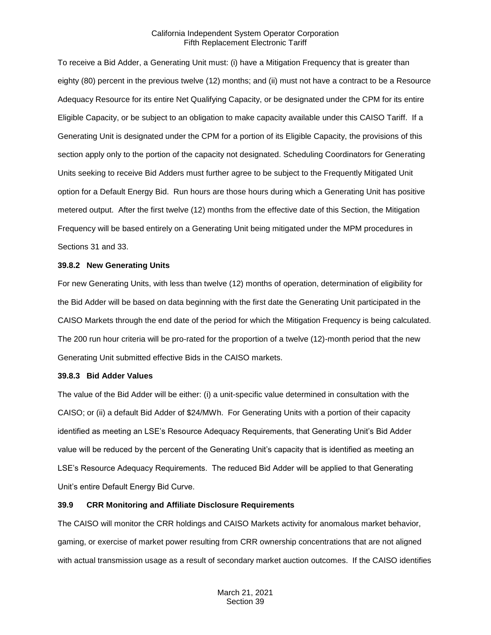To receive a Bid Adder, a Generating Unit must: (i) have a Mitigation Frequency that is greater than eighty (80) percent in the previous twelve (12) months; and (ii) must not have a contract to be a Resource Adequacy Resource for its entire Net Qualifying Capacity, or be designated under the CPM for its entire Eligible Capacity, or be subject to an obligation to make capacity available under this CAISO Tariff. If a Generating Unit is designated under the CPM for a portion of its Eligible Capacity, the provisions of this section apply only to the portion of the capacity not designated. Scheduling Coordinators for Generating Units seeking to receive Bid Adders must further agree to be subject to the Frequently Mitigated Unit option for a Default Energy Bid. Run hours are those hours during which a Generating Unit has positive metered output. After the first twelve (12) months from the effective date of this Section, the Mitigation Frequency will be based entirely on a Generating Unit being mitigated under the MPM procedures in Sections 31 and 33.

#### <span id="page-27-0"></span>**39.8.2 New Generating Units**

For new Generating Units, with less than twelve (12) months of operation, determination of eligibility for the Bid Adder will be based on data beginning with the first date the Generating Unit participated in the CAISO Markets through the end date of the period for which the Mitigation Frequency is being calculated. The 200 run hour criteria will be pro-rated for the proportion of a twelve (12)-month period that the new Generating Unit submitted effective Bids in the CAISO markets.

#### <span id="page-27-1"></span>**39.8.3 Bid Adder Values**

The value of the Bid Adder will be either: (i) a unit-specific value determined in consultation with the CAISO; or (ii) a default Bid Adder of \$24/MWh. For Generating Units with a portion of their capacity identified as meeting an LSE's Resource Adequacy Requirements, that Generating Unit's Bid Adder value will be reduced by the percent of the Generating Unit's capacity that is identified as meeting an LSE's Resource Adequacy Requirements. The reduced Bid Adder will be applied to that Generating Unit's entire Default Energy Bid Curve.

## <span id="page-27-2"></span>**39.9 CRR Monitoring and Affiliate Disclosure Requirements**

The CAISO will monitor the CRR holdings and CAISO Markets activity for anomalous market behavior, gaming, or exercise of market power resulting from CRR ownership concentrations that are not aligned with actual transmission usage as a result of secondary market auction outcomes. If the CAISO identifies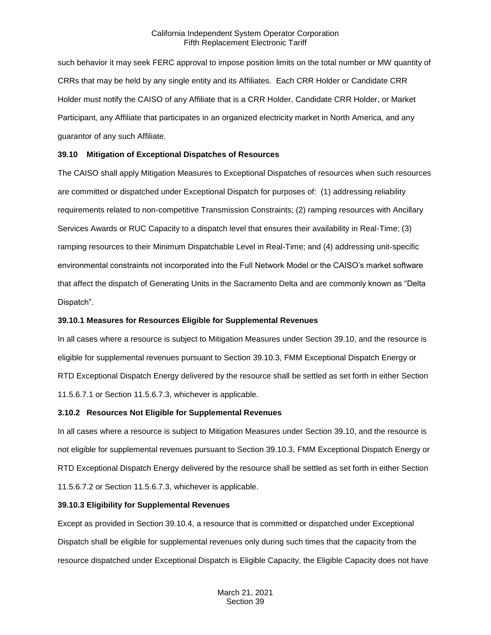such behavior it may seek FERC approval to impose position limits on the total number or MW quantity of CRRs that may be held by any single entity and its Affiliates. Each CRR Holder or Candidate CRR Holder must notify the CAISO of any Affiliate that is a CRR Holder, Candidate CRR Holder, or Market Participant, any Affiliate that participates in an organized electricity market in North America, and any guarantor of any such Affiliate.

## <span id="page-28-0"></span>**39.10 Mitigation of Exceptional Dispatches of Resources**

The CAISO shall apply Mitigation Measures to Exceptional Dispatches of resources when such resources are committed or dispatched under Exceptional Dispatch for purposes of: (1) addressing reliability requirements related to non-competitive Transmission Constraints; (2) ramping resources with Ancillary Services Awards or RUC Capacity to a dispatch level that ensures their availability in Real-Time; (3) ramping resources to their Minimum Dispatchable Level in Real-Time; and (4) addressing unit-specific environmental constraints not incorporated into the Full Network Model or the CAISO's market software that affect the dispatch of Generating Units in the Sacramento Delta and are commonly known as "Delta Dispatch".

## <span id="page-28-1"></span>**39.10.1 Measures for Resources Eligible for Supplemental Revenues**

In all cases where a resource is subject to Mitigation Measures under Section 39.10, and the resource is eligible for supplemental revenues pursuant to Section 39.10.3, FMM Exceptional Dispatch Energy or RTD Exceptional Dispatch Energy delivered by the resource shall be settled as set forth in either Section 11.5.6.7.1 or Section 11.5.6.7.3, whichever is applicable.

## <span id="page-28-2"></span>**3.10.2 Resources Not Eligible for Supplemental Revenues**

In all cases where a resource is subject to Mitigation Measures under Section 39.10, and the resource is not eligible for supplemental revenues pursuant to Section 39.10.3, FMM Exceptional Dispatch Energy or RTD Exceptional Dispatch Energy delivered by the resource shall be settled as set forth in either Section 11.5.6.7.2 or Section 11.5.6.7.3, whichever is applicable.

## <span id="page-28-3"></span>**39.10.3 Eligibility for Supplemental Revenues**

Except as provided in Section 39.10.4, a resource that is committed or dispatched under Exceptional Dispatch shall be eligible for supplemental revenues only during such times that the capacity from the resource dispatched under Exceptional Dispatch is Eligible Capacity, the Eligible Capacity does not have